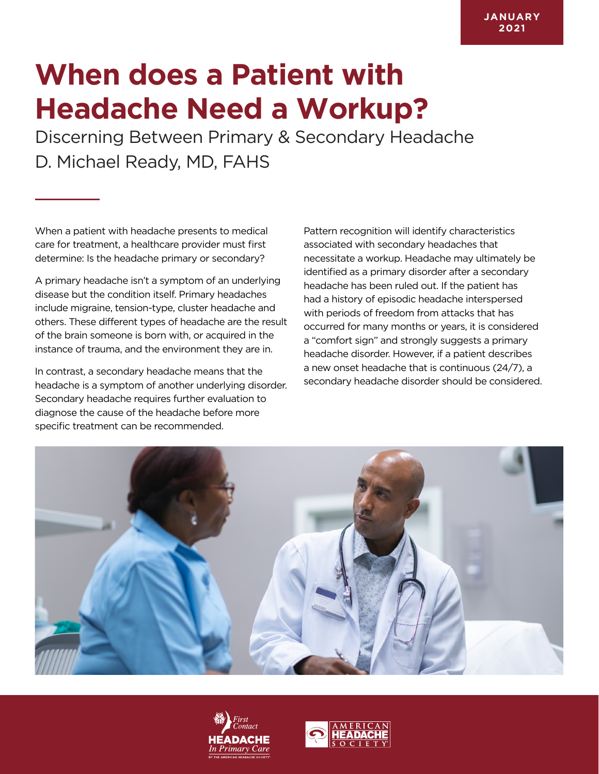## **When does a Patient with Headache Need a Workup?**

Discerning Between Primary & Secondary Headache D. Michael Ready, MD, FAHS

When a patient with headache presents to medical care for treatment, a healthcare provider must first determine: Is the headache primary or secondary?

A primary headache isn't a symptom of an underlying disease but the condition itself. Primary headaches include migraine, tension-type, cluster headache and others. These different types of headache are the result of the brain someone is born with, or acquired in the instance of trauma, and the environment they are in.

In contrast, a secondary headache means that the headache is a symptom of another underlying disorder. Secondary headache requires further evaluation to diagnose the cause of the headache before more specific treatment can be recommended.

Pattern recognition will identify characteristics associated with secondary headaches that necessitate a workup. Headache may ultimately be identified as a primary disorder after a secondary headache has been ruled out. If the patient has had a history of episodic headache interspersed with periods of freedom from attacks that has occurred for many months or years, it is considered a "comfort sign" and strongly suggests a primary headache disorder. However, if a patient describes a new onset headache that is continuous (24/7), a secondary headache disorder should be considered.